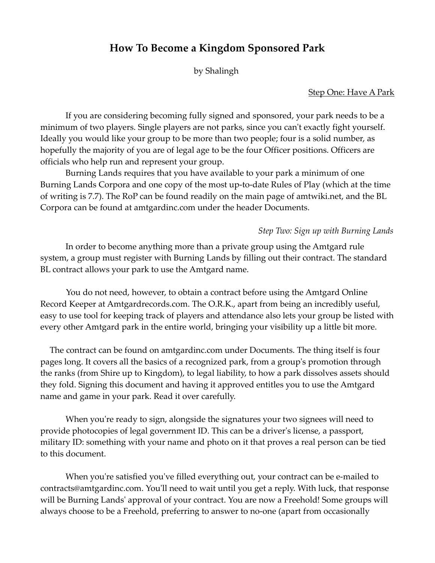# **How To Become a Kingdom Sponsored Park**

by Shalingh

## Step One: Have A Park

If you are considering becoming fully signed and sponsored, your park needs to be a minimum of two players. Single players are not parks, since you can't exactly fight yourself. Ideally you would like your group to be more than two people; four is a solid number, as hopefully the majority of you are of legal age to be the four Officer positions. Officers are officials who help run and represent your group.

Burning Lands requires that you have available to your park a minimum of one Burning Lands Corpora and one copy of the most up-to-date Rules of Play (which at the time of writing is 7.7). The RoP can be found readily on the main page of amtwiki.net, and the BL Corpora can be found at amtgardinc.com under the header Documents.

## *Step Two: Sign up with Burning Lands*

In order to become anything more than a private group using the Amtgard rule system, a group must register with Burning Lands by filling out their contract. The standard BL contract allows your park to use the Amtgard name.

You do not need, however, to obtain a contract before using the Amtgard Online Record Keeper at Amtgardrecords.com. The O.R.K., apart from being an incredibly useful, easy to use tool for keeping track of players and attendance also lets your group be listed with every other Amtgard park in the entire world, bringing your visibility up a little bit more.

The contract can be found on amtgardinc.com under Documents. The thing itself is four pages long. It covers all the basics of a recognized park, from a group's promotion through the ranks (from Shire up to Kingdom), to legal liability, to how a park dissolves assets should they fold. Signing this document and having it approved entitles you to use the Amtgard name and game in your park. Read it over carefully.

When you're ready to sign, alongside the signatures your two signees will need to provide photocopies of legal government ID. This can be a driver's license, a passport, military ID: something with your name and photo on it that proves a real person can be tied to this document.

When you're satisfied you've filled everything out, your contract can be e-mailed to contracts@amtgardinc.com. You'll need to wait until you get a reply. With luck, that response will be Burning Lands' approval of your contract. You are now a Freehold! Some groups will always choose to be a Freehold, preferring to answer to no-one (apart from occasionally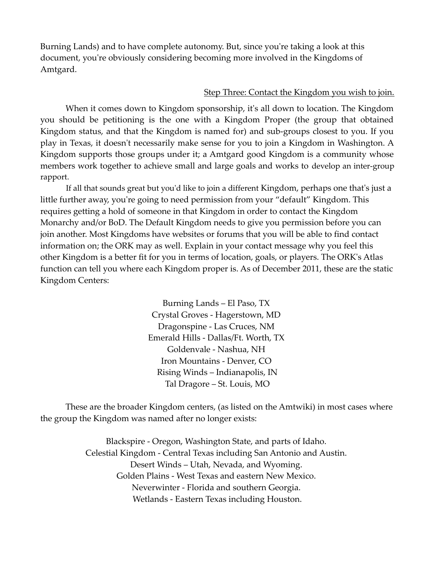Burning Lands) and to have complete autonomy. But, since you're taking a look at this document, you're obviously considering becoming more involved in the Kingdoms of Amtgard.

#### Step Three: Contact the Kingdom you wish to join.

When it comes down to Kingdom sponsorship, it's all down to location. The Kingdom you should be petitioning is the one with a Kingdom Proper (the group that obtained Kingdom status, and that the Kingdom is named for) and sub-groups closest to you. If you play in Texas, it doesn't necessarily make sense for you to join a Kingdom in Washington. A Kingdom supports those groups under it; a Amtgard good Kingdom is a community whose members work together to achieve small and large goals and works to develop an inter-group rapport.

If all that sounds great but you'd like to join a different Kingdom, perhaps one that's just a little further away, you're going to need permission from your "default" Kingdom. This requires getting a hold of someone in that Kingdom in order to contact the Kingdom Monarchy and/or BoD. The Default Kingdom needs to give you permission before you can join another. Most Kingdoms have websites or forums that you will be able to find contact information on; the ORK may as well. Explain in your contact message why you feel this other Kingdom is a better fit for you in terms of location, goals, or players. The ORK's Atlas function can tell you where each Kingdom proper is. As of December 2011, these are the static Kingdom Centers:

> Burning Lands – El Paso, TX Crystal Groves - Hagerstown, MD Dragonspine - Las Cruces, NM Emerald Hills - Dallas/Ft. Worth, TX Goldenvale - Nashua, NH Iron Mountains - Denver, CO Rising Winds – Indianapolis, IN Tal Dragore – St. Louis, MO

These are the broader Kingdom centers, (as listed on the Amtwiki) in most cases where the group the Kingdom was named after no longer exists:

> Blackspire - Oregon, Washington State, and parts of Idaho. Celestial Kingdom - Central Texas including San Antonio and Austin. Desert Winds – Utah, Nevada, and Wyoming. Golden Plains - West Texas and eastern New Mexico. Neverwinter - Florida and southern Georgia. Wetlands - Eastern Texas including Houston.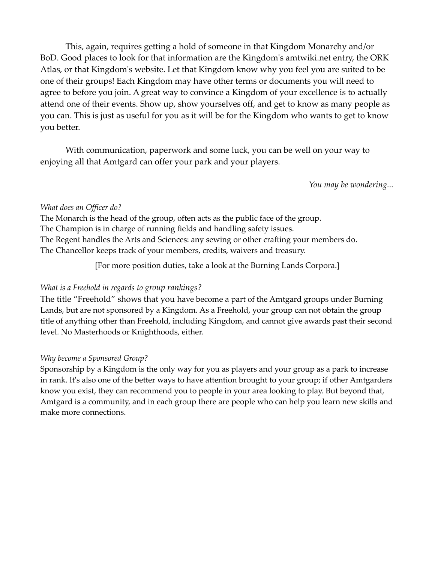This, again, requires getting a hold of someone in that Kingdom Monarchy and/or BoD. Good places to look for that information are the Kingdom's amtwiki.net entry, the ORK Atlas, or that Kingdom's website. Let that Kingdom know why you feel you are suited to be one of their groups! Each Kingdom may have other terms or documents you will need to agree to before you join. A great way to convince a Kingdom of your excellence is to actually attend one of their events. Show up, show yourselves off, and get to know as many people as you can. This is just as useful for you as it will be for the Kingdom who wants to get to know you better.

With communication, paperwork and some luck, you can be well on your way to enjoying all that Amtgard can offer your park and your players.

*You may be wondering...*

## *What does an Officer do?*

The Monarch is the head of the group, often acts as the public face of the group. The Champion is in charge of running fields and handling safety issues. The Regent handles the Arts and Sciences: any sewing or other crafting your members do. The Chancellor keeps track of your members, credits, waivers and treasury.

[For more position duties, take a look at the Burning Lands Corpora.]

# *What is a Freehold in regards to group rankings?*

The title "Freehold" shows that you have become a part of the Amtgard groups under Burning Lands, but are not sponsored by a Kingdom. As a Freehold, your group can not obtain the group title of anything other than Freehold, including Kingdom, and cannot give awards past their second level. No Masterhoods or Knighthoods, either.

# *Why become a Sponsored Group?*

Sponsorship by a Kingdom is the only way for you as players and your group as a park to increase in rank. It's also one of the better ways to have attention brought to your group; if other Amtgarders know you exist, they can recommend you to people in your area looking to play. But beyond that, Amtgard is a community, and in each group there are people who can help you learn new skills and make more connections.